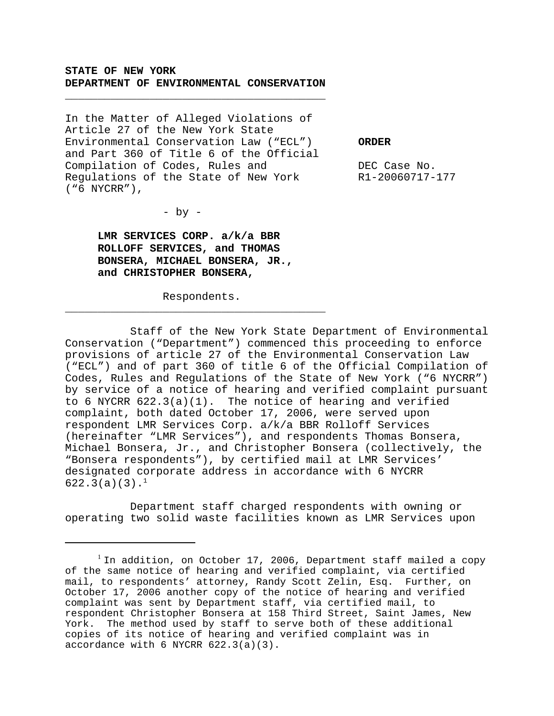### **STATE OF NEW YORK DEPARTMENT OF ENVIRONMENTAL CONSERVATION**

\_\_\_\_\_\_\_\_\_\_\_\_\_\_\_\_\_\_\_\_\_\_\_\_\_\_\_\_\_\_\_\_\_\_\_\_\_\_\_\_

In the Matter of Alleged Violations of Article 27 of the New York State Environmental Conservation Law ("ECL") **ORDER** and Part 360 of Title 6 of the Official Compilation of Codes, Rules and  $DEC$  Case No. Regulations of the State of New York R1-20060717-177 ("6 NYCRR"),

 $-$  by  $-$ 

**LMR SERVICES CORP. a/k/a BBR ROLLOFF SERVICES, and THOMAS BONSERA, MICHAEL BONSERA, JR., and CHRISTOPHER BONSERA,**

Respondents. \_\_\_\_\_\_\_\_\_\_\_\_\_\_\_\_\_\_\_\_\_\_\_\_\_\_\_\_\_\_\_\_\_\_\_\_\_\_\_\_

Staff of the New York State Department of Environmental Conservation ("Department") commenced this proceeding to enforce provisions of article 27 of the Environmental Conservation Law ("ECL") and of part 360 of title 6 of the Official Compilation of Codes, Rules and Regulations of the State of New York ("6 NYCRR") by service of a notice of hearing and verified complaint pursuant to 6 NYCRR 622.3(a)(1). The notice of hearing and verified complaint, both dated October 17, 2006, were served upon respondent LMR Services Corp. a/k/a BBR Rolloff Services (hereinafter "LMR Services"), and respondents Thomas Bonsera, Michael Bonsera, Jr., and Christopher Bonsera (collectively, the "Bonsera respondents"), by certified mail at LMR Services' designated corporate address in accordance with 6 NYCRR  $622.3(a)(3).<sup>1</sup>$ 

Department staff charged respondents with owning or operating two solid waste facilities known as LMR Services upon

 $1$  In addition, on October 17, 2006, Department staff mailed a copy of the same notice of hearing and verified complaint, via certified mail, to respondents' attorney, Randy Scott Zelin, Esq. Further, on October 17, 2006 another copy of the notice of hearing and verified complaint was sent by Department staff, via certified mail, to respondent Christopher Bonsera at 158 Third Street, Saint James, New York. The method used by staff to serve both of these additional copies of its notice of hearing and verified complaint was in accordance with 6 NYCRR 622.3(a)(3).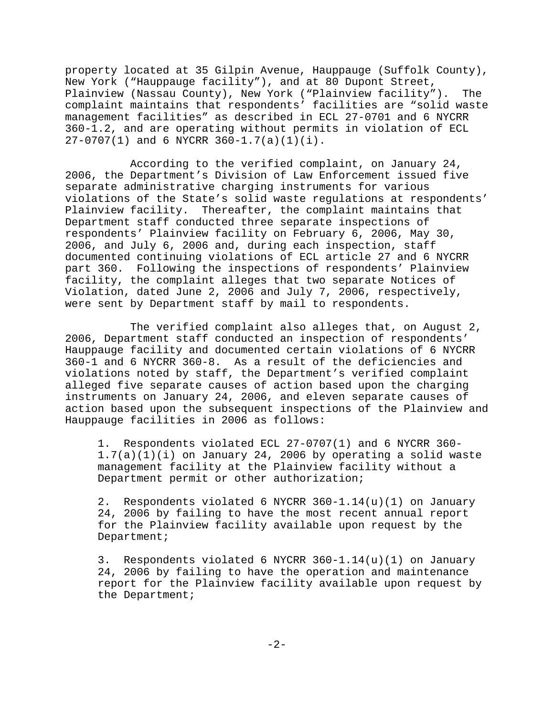property located at 35 Gilpin Avenue, Hauppauge (Suffolk County), New York ("Hauppauge facility"), and at 80 Dupont Street, Plainview (Nassau County), New York ("Plainview facility"). The complaint maintains that respondents' facilities are "solid waste management facilities" as described in ECL 27-0701 and 6 NYCRR 360-1.2, and are operating without permits in violation of ECL 27-0707(1) and 6 NYCRR 360-1.7(a)(1)(i).

According to the verified complaint, on January 24, 2006, the Department's Division of Law Enforcement issued five separate administrative charging instruments for various violations of the State's solid waste regulations at respondents' Plainview facility. Thereafter, the complaint maintains that Department staff conducted three separate inspections of respondents' Plainview facility on February 6, 2006, May 30, 2006, and July 6, 2006 and, during each inspection, staff documented continuing violations of ECL article 27 and 6 NYCRR part 360. Following the inspections of respondents' Plainview facility, the complaint alleges that two separate Notices of Violation, dated June 2, 2006 and July 7, 2006, respectively, were sent by Department staff by mail to respondents.

The verified complaint also alleges that, on August 2, 2006, Department staff conducted an inspection of respondents' Hauppauge facility and documented certain violations of 6 NYCRR 360-1 and 6 NYCRR 360-8. As a result of the deficiencies and violations noted by staff, the Department's verified complaint alleged five separate causes of action based upon the charging instruments on January 24, 2006, and eleven separate causes of action based upon the subsequent inspections of the Plainview and Hauppauge facilities in 2006 as follows:

1. Respondents violated ECL 27-0707(1) and 6 NYCRR 360-  $1.7(a)(1)(i)$  on January 24, 2006 by operating a solid waste management facility at the Plainview facility without a Department permit or other authorization;

2. Respondents violated 6 NYCRR 360-1.14(u)(1) on January 24, 2006 by failing to have the most recent annual report for the Plainview facility available upon request by the Department;

3. Respondents violated 6 NYCRR 360-1.14(u)(1) on January 24, 2006 by failing to have the operation and maintenance report for the Plainview facility available upon request by the Department;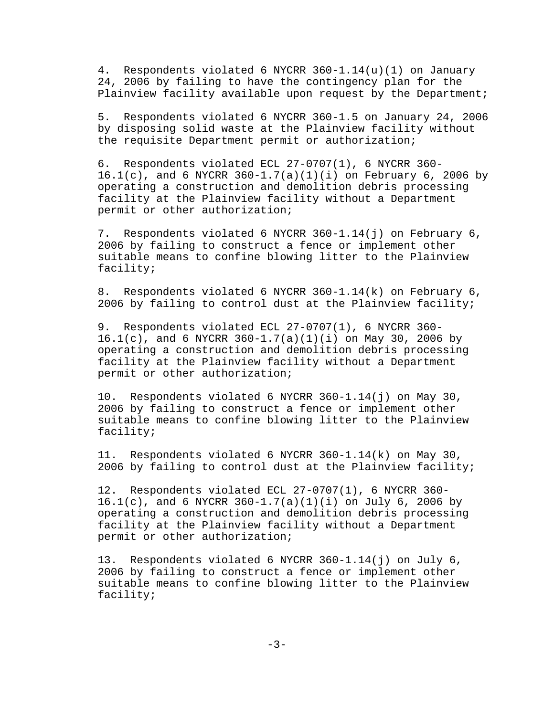4. Respondents violated 6 NYCRR 360-1.14(u)(1) on January 24, 2006 by failing to have the contingency plan for the Plainview facility available upon request by the Department;

5. Respondents violated 6 NYCRR 360-1.5 on January 24, 2006 by disposing solid waste at the Plainview facility without the requisite Department permit or authorization;

6. Respondents violated ECL 27-0707(1), 6 NYCRR 360-  $16.1(c)$ , and 6 NYCRR  $360-1.7(a)(1)(i)$  on February 6, 2006 by operating a construction and demolition debris processing facility at the Plainview facility without a Department permit or other authorization;

7. Respondents violated 6 NYCRR 360-1.14(j) on February 6, 2006 by failing to construct a fence or implement other suitable means to confine blowing litter to the Plainview facility;

8. Respondents violated 6 NYCRR 360-1.14(k) on February 6, 2006 by failing to control dust at the Plainview facility;

9. Respondents violated ECL 27-0707(1), 6 NYCRR 360- 16.1(c), and 6 NYCRR 360-1.7(a)(1)(i) on May 30, 2006 by operating a construction and demolition debris processing facility at the Plainview facility without a Department permit or other authorization;

10. Respondents violated 6 NYCRR 360-1.14(j) on May 30, 2006 by failing to construct a fence or implement other suitable means to confine blowing litter to the Plainview facility;

11. Respondents violated 6 NYCRR 360-1.14(k) on May 30, 2006 by failing to control dust at the Plainview facility;

12. Respondents violated ECL 27-0707(1), 6 NYCRR 360- 16.1(c), and 6 NYCRR 360-1.7(a)(1)(i) on July 6, 2006 by operating a construction and demolition debris processing facility at the Plainview facility without a Department permit or other authorization;

13. Respondents violated 6 NYCRR 360-1.14(j) on July 6, 2006 by failing to construct a fence or implement other suitable means to confine blowing litter to the Plainview facility;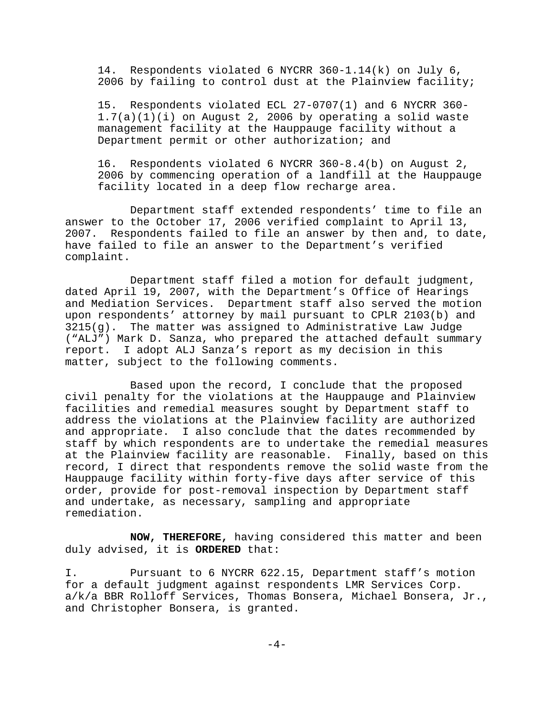14. Respondents violated 6 NYCRR 360-1.14(k) on July 6, 2006 by failing to control dust at the Plainview facility;

15. Respondents violated ECL 27-0707(1) and 6 NYCRR 360-  $1.7(a)(1)(i)$  on August 2, 2006 by operating a solid waste management facility at the Hauppauge facility without a Department permit or other authorization; and

16. Respondents violated 6 NYCRR 360-8.4(b) on August 2, 2006 by commencing operation of a landfill at the Hauppauge facility located in a deep flow recharge area.

Department staff extended respondents' time to file an answer to the October 17, 2006 verified complaint to April 13, 2007. Respondents failed to file an answer by then and, to date, have failed to file an answer to the Department's verified complaint.

Department staff filed a motion for default judgment, dated April 19, 2007, with the Department's Office of Hearings and Mediation Services. Department staff also served the motion upon respondents' attorney by mail pursuant to CPLR 2103(b) and 3215(g). The matter was assigned to Administrative Law Judge ("ALJ") Mark D. Sanza, who prepared the attached default summary report. I adopt ALJ Sanza's report as my decision in this matter, subject to the following comments.

Based upon the record, I conclude that the proposed civil penalty for the violations at the Hauppauge and Plainview facilities and remedial measures sought by Department staff to address the violations at the Plainview facility are authorized and appropriate. I also conclude that the dates recommended by staff by which respondents are to undertake the remedial measures at the Plainview facility are reasonable. Finally, based on this record, I direct that respondents remove the solid waste from the Hauppauge facility within forty-five days after service of this order, provide for post-removal inspection by Department staff and undertake, as necessary, sampling and appropriate remediation.

**NOW, THEREFORE,** having considered this matter and been duly advised, it is **ORDERED** that:

I. Pursuant to 6 NYCRR 622.15, Department staff's motion for a default judgment against respondents LMR Services Corp. a/k/a BBR Rolloff Services, Thomas Bonsera, Michael Bonsera, Jr., and Christopher Bonsera, is granted.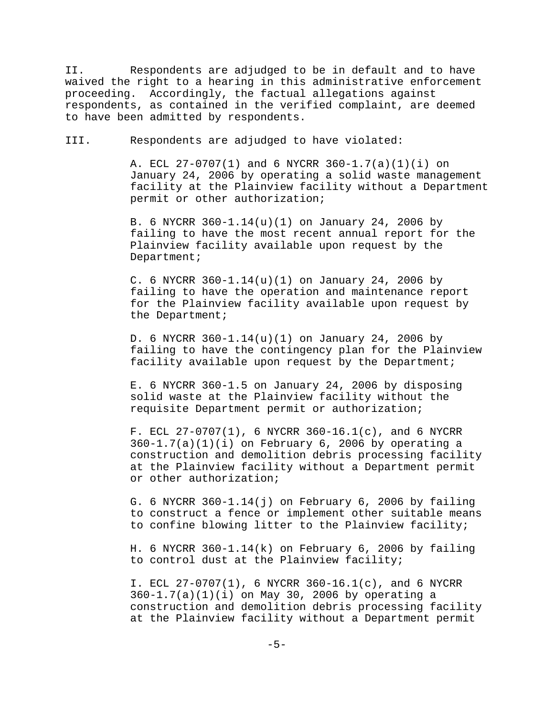II. Respondents are adjudged to be in default and to have waived the right to a hearing in this administrative enforcement proceeding. Accordingly, the factual allegations against respondents, as contained in the verified complaint, are deemed to have been admitted by respondents.

III. Respondents are adjudged to have violated:

A. ECL 27-0707(1) and 6 NYCRR 360-1.7(a)(1)(i) on January 24, 2006 by operating a solid waste management facility at the Plainview facility without a Department permit or other authorization;

B. 6 NYCRR 360-1.14(u)(1) on January 24, 2006 by failing to have the most recent annual report for the Plainview facility available upon request by the Department;

C. 6 NYCRR 360-1.14(u)(1) on January 24, 2006 by failing to have the operation and maintenance report for the Plainview facility available upon request by the Department;

D. 6 NYCRR 360-1.14(u)(1) on January 24, 2006 by failing to have the contingency plan for the Plainview facility available upon request by the Department;

E. 6 NYCRR 360-1.5 on January 24, 2006 by disposing solid waste at the Plainview facility without the requisite Department permit or authorization;

F. ECL 27-0707(1), 6 NYCRR 360-16.1(c), and 6 NYCRR  $360-1.7(a)(1)(i)$  on February 6, 2006 by operating a construction and demolition debris processing facility at the Plainview facility without a Department permit or other authorization;

G. 6 NYCRR 360-1.14(j) on February 6, 2006 by failing to construct a fence or implement other suitable means to confine blowing litter to the Plainview facility;

H. 6 NYCRR 360-1.14(k) on February 6, 2006 by failing to control dust at the Plainview facility;

I. ECL 27-0707(1), 6 NYCRR 360-16.1(c), and 6 NYCRR 360-1.7(a)(1)(i) on May 30, 2006 by operating a construction and demolition debris processing facility at the Plainview facility without a Department permit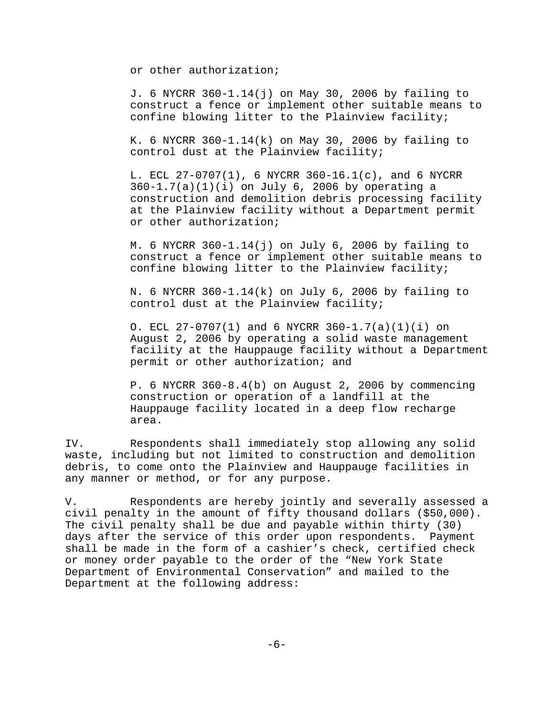or other authorization;

J. 6 NYCRR 360-1.14(j) on May 30, 2006 by failing to construct a fence or implement other suitable means to confine blowing litter to the Plainview facility;

K. 6 NYCRR  $360-1.14(k)$  on May 30, 2006 by failing to control dust at the Plainview facility;

L. ECL 27-0707(1), 6 NYCRR 360-16.1(c), and 6 NYCRR 360-1.7(a)(1)(i) on July 6, 2006 by operating a construction and demolition debris processing facility at the Plainview facility without a Department permit or other authorization;

M. 6 NYCRR  $360-1.14(j)$  on July 6, 2006 by failing to construct a fence or implement other suitable means to confine blowing litter to the Plainview facility;

N. 6 NYCRR 360-1.14(k) on July 6, 2006 by failing to control dust at the Plainview facility;

O. ECL  $27-0707(1)$  and 6 NYCRR  $360-1.7(a)(1)(i)$  on August 2, 2006 by operating a solid waste management facility at the Hauppauge facility without a Department permit or other authorization; and

P. 6 NYCRR 360-8.4(b) on August 2, 2006 by commencing construction or operation of a landfill at the Hauppauge facility located in a deep flow recharge area.

IV. Respondents shall immediately stop allowing any solid waste, including but not limited to construction and demolition debris, to come onto the Plainview and Hauppauge facilities in any manner or method, or for any purpose.

V. Respondents are hereby jointly and severally assessed a civil penalty in the amount of fifty thousand dollars (\$50,000). The civil penalty shall be due and payable within thirty (30) days after the service of this order upon respondents. Payment shall be made in the form of a cashier's check, certified check or money order payable to the order of the "New York State Department of Environmental Conservation" and mailed to the Department at the following address: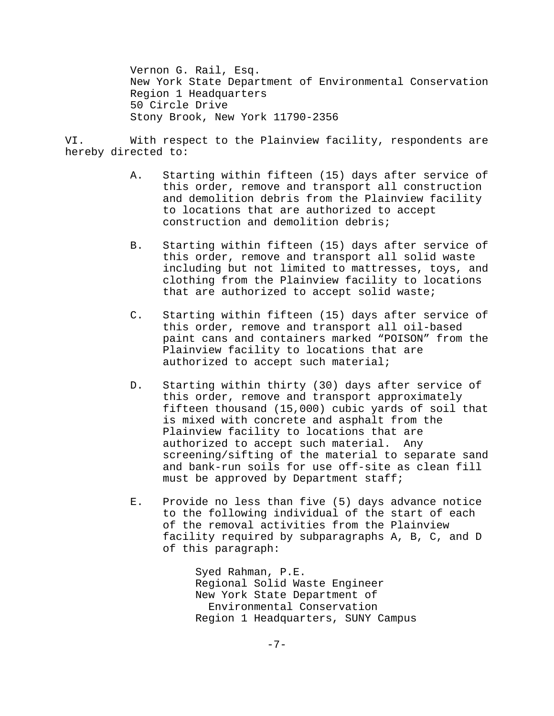Vernon G. Rail, Esq. New York State Department of Environmental Conservation Region 1 Headquarters 50 Circle Drive Stony Brook, New York 11790-2356

VI. With respect to the Plainview facility, respondents are hereby directed to:

- A. Starting within fifteen (15) days after service of this order, remove and transport all construction and demolition debris from the Plainview facility to locations that are authorized to accept construction and demolition debris;
- B. Starting within fifteen (15) days after service of this order, remove and transport all solid waste including but not limited to mattresses, toys, and clothing from the Plainview facility to locations that are authorized to accept solid waste;
- C. Starting within fifteen (15) days after service of this order, remove and transport all oil-based paint cans and containers marked "POISON" from the Plainview facility to locations that are authorized to accept such material;
- D. Starting within thirty (30) days after service of this order, remove and transport approximately fifteen thousand (15,000) cubic yards of soil that is mixed with concrete and asphalt from the Plainview facility to locations that are authorized to accept such material. Any screening/sifting of the material to separate sand and bank-run soils for use off-site as clean fill must be approved by Department staff;
- E. Provide no less than five (5) days advance notice to the following individual of the start of each of the removal activities from the Plainview facility required by subparagraphs A, B, C, and D of this paragraph:

Syed Rahman, P.E. Regional Solid Waste Engineer New York State Department of Environmental Conservation Region 1 Headquarters, SUNY Campus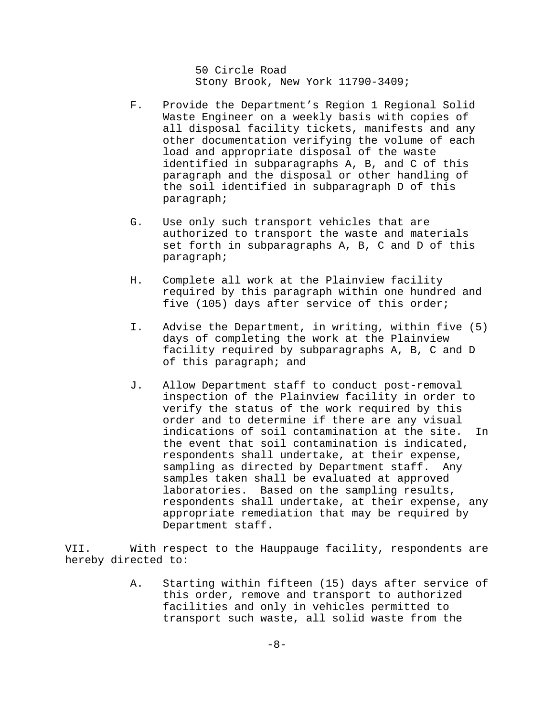50 Circle Road Stony Brook, New York 11790-3409;

- F. Provide the Department's Region 1 Regional Solid Waste Engineer on a weekly basis with copies of all disposal facility tickets, manifests and any other documentation verifying the volume of each load and appropriate disposal of the waste identified in subparagraphs A, B, and C of this paragraph and the disposal or other handling of the soil identified in subparagraph D of this paragraph;
- G. Use only such transport vehicles that are authorized to transport the waste and materials set forth in subparagraphs A, B, C and D of this paragraph;
- H. Complete all work at the Plainview facility required by this paragraph within one hundred and five (105) days after service of this order;
- I. Advise the Department, in writing, within five (5) days of completing the work at the Plainview facility required by subparagraphs A, B, C and D of this paragraph; and
- J. Allow Department staff to conduct post-removal inspection of the Plainview facility in order to verify the status of the work required by this order and to determine if there are any visual indications of soil contamination at the site. In the event that soil contamination is indicated, respondents shall undertake, at their expense, sampling as directed by Department staff. Any samples taken shall be evaluated at approved laboratories. Based on the sampling results, respondents shall undertake, at their expense, any appropriate remediation that may be required by Department staff.

VII. With respect to the Hauppauge facility, respondents are hereby directed to:

> A. Starting within fifteen (15) days after service of this order, remove and transport to authorized facilities and only in vehicles permitted to transport such waste, all solid waste from the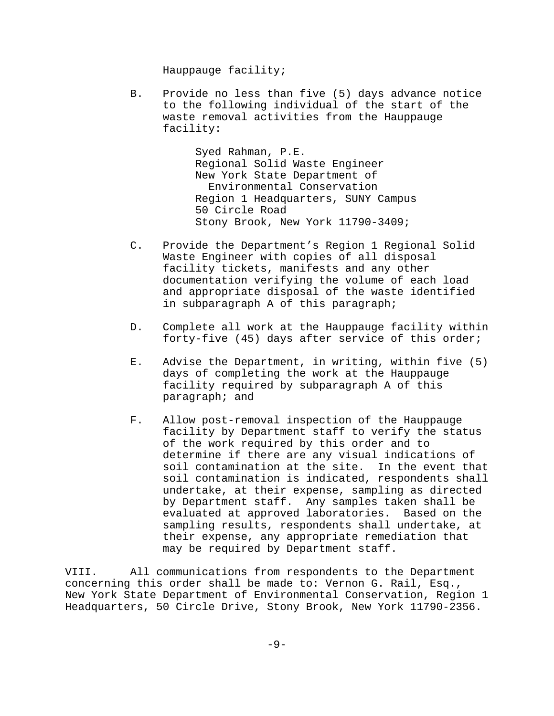Hauppauge facility;

B. Provide no less than five (5) days advance notice to the following individual of the start of the waste removal activities from the Hauppauge facility:

> Syed Rahman, P.E. Regional Solid Waste Engineer New York State Department of Environmental Conservation Region 1 Headquarters, SUNY Campus 50 Circle Road Stony Brook, New York 11790-3409;

- C. Provide the Department's Region 1 Regional Solid Waste Engineer with copies of all disposal facility tickets, manifests and any other documentation verifying the volume of each load and appropriate disposal of the waste identified in subparagraph A of this paragraph;
- D. Complete all work at the Hauppauge facility within forty-five (45) days after service of this order;
- E. Advise the Department, in writing, within five (5) days of completing the work at the Hauppauge facility required by subparagraph A of this paragraph; and
- F. Allow post-removal inspection of the Hauppauge facility by Department staff to verify the status of the work required by this order and to determine if there are any visual indications of soil contamination at the site. In the event that soil contamination is indicated, respondents shall undertake, at their expense, sampling as directed by Department staff. Any samples taken shall be evaluated at approved laboratories. Based on the sampling results, respondents shall undertake, at their expense, any appropriate remediation that may be required by Department staff.

VIII. All communications from respondents to the Department concerning this order shall be made to: Vernon G. Rail, Esq., New York State Department of Environmental Conservation, Region 1 Headquarters, 50 Circle Drive, Stony Brook, New York 11790-2356.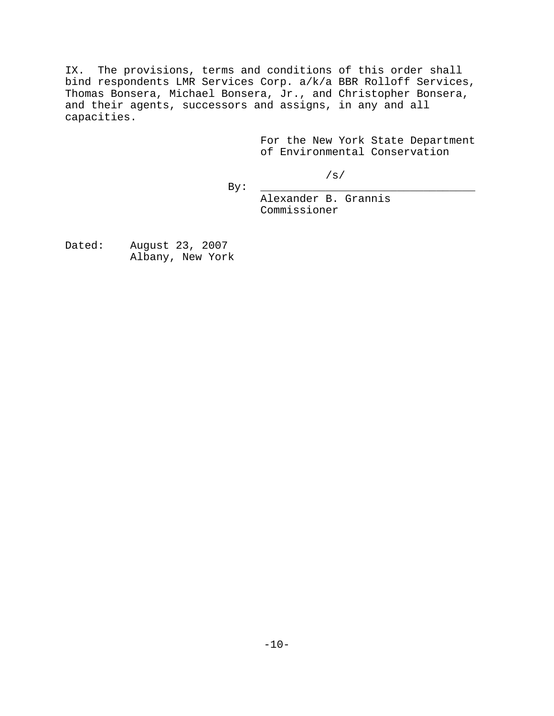IX. The provisions, terms and conditions of this order shall bind respondents LMR Services Corp. a/k/a BBR Rolloff Services, Thomas Bonsera, Michael Bonsera, Jr., and Christopher Bonsera, and their agents, successors and assigns, in any and all capacities.

> For the New York State Department of Environmental Conservation

> > /s/

By: \_\_\_\_\_\_\_\_\_\_\_\_\_\_\_\_\_\_\_\_\_\_\_\_\_\_\_\_\_\_\_\_\_

Alexander B. Grannis Commissioner

Dated: August 23, 2007 Albany, New York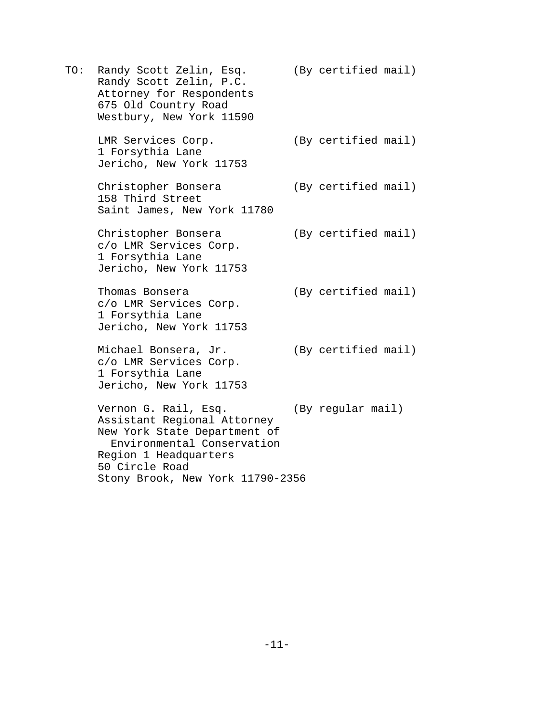TO: Randy Scott Zelin, Esq. (By certified mail) Randy Scott Zelin, P.C. Attorney for Respondents 675 Old Country Road Westbury, New York 11590

LMR Services Corp. (By certified mail) 1 Forsythia Lane Jericho, New York 11753

Christopher Bonsera (By certified mail) 158 Third Street Saint James, New York 11780

Christopher Bonsera (By certified mail) c/o LMR Services Corp. 1 Forsythia Lane Jericho, New York 11753

Thomas Bonsera (By certified mail) c/o LMR Services Corp. 1 Forsythia Lane Jericho, New York 11753

Michael Bonsera, Jr. (By certified mail) c/o LMR Services Corp. 1 Forsythia Lane Jericho, New York 11753

Vernon G. Rail, Esq. (By regular mail) Assistant Regional Attorney New York State Department of Environmental Conservation Region 1 Headquarters 50 Circle Road Stony Brook, New York 11790-2356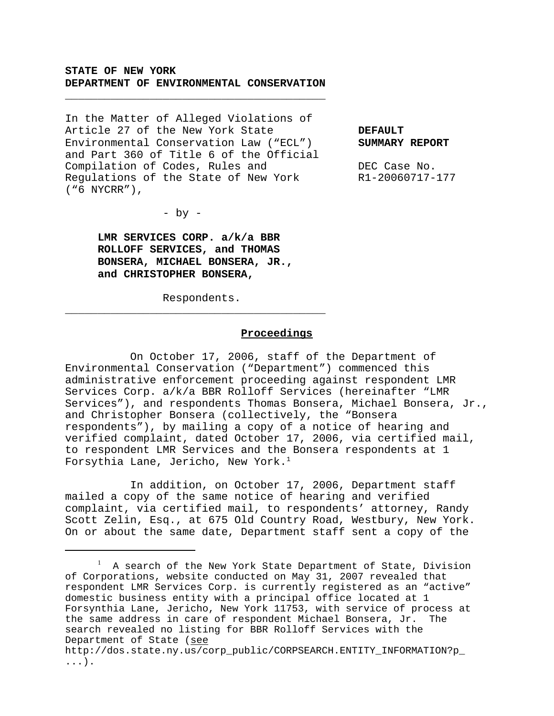### **STATE OF NEW YORK DEPARTMENT OF ENVIRONMENTAL CONSERVATION**

\_\_\_\_\_\_\_\_\_\_\_\_\_\_\_\_\_\_\_\_\_\_\_\_\_\_\_\_\_\_\_\_\_\_\_\_\_\_\_\_

In the Matter of Alleged Violations of Article 27 of the New York State **DEFAULT** Environmental Conservation Law ("ECL") **SUMMARY REPORT** and Part 360 of Title 6 of the Official Compilation of Codes, Rules and DEC Case No. Regulations of the State of New York R1-20060717-177 ("6 NYCRR"),

 $-$  by  $-$ 

**LMR SERVICES CORP. a/k/a BBR ROLLOFF SERVICES, and THOMAS BONSERA, MICHAEL BONSERA, JR., and CHRISTOPHER BONSERA,**

Respondents.

\_\_\_\_\_\_\_\_\_\_\_\_\_\_\_\_\_\_\_\_\_\_\_\_\_\_\_\_\_\_\_\_\_\_\_\_\_\_\_\_

# **Proceedings**

On October 17, 2006, staff of the Department of Environmental Conservation ("Department") commenced this administrative enforcement proceeding against respondent LMR Services Corp. a/k/a BBR Rolloff Services (hereinafter "LMR Services"), and respondents Thomas Bonsera, Michael Bonsera, Jr., and Christopher Bonsera (collectively, the "Bonsera respondents"), by mailing a copy of a notice of hearing and verified complaint, dated October 17, 2006, via certified mail, to respondent LMR Services and the Bonsera respondents at 1 Forsythia Lane, Jericho, New York. $<sup>1</sup>$ </sup>

In addition, on October 17, 2006, Department staff mailed a copy of the same notice of hearing and verified complaint, via certified mail, to respondents' attorney, Randy Scott Zelin, Esq., at 675 Old Country Road, Westbury, New York. On or about the same date, Department staff sent a copy of the

<sup>1</sup> A search of the New York State Department of State, Division of Corporations, website conducted on May 31, 2007 revealed that respondent LMR Services Corp. is currently registered as an "active" domestic business entity with a principal office located at 1 Forsynthia Lane, Jericho, New York 11753, with service of process at the same address in care of respondent Michael Bonsera, Jr. The search revealed no listing for BBR Rolloff Services with the Department of State (see http://dos.state.ny.us/corp\_public/CORPSEARCH.ENTITY\_INFORMATION?p\_

<sup>...).</sup>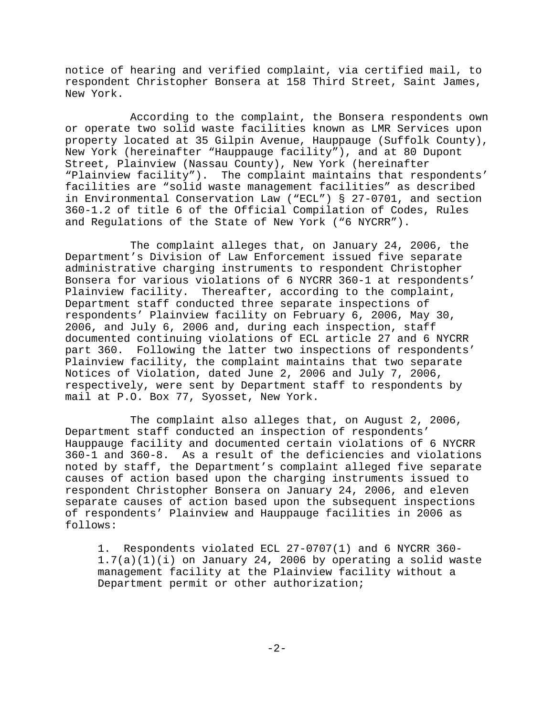notice of hearing and verified complaint, via certified mail, to respondent Christopher Bonsera at 158 Third Street, Saint James, New York.

According to the complaint, the Bonsera respondents own or operate two solid waste facilities known as LMR Services upon property located at 35 Gilpin Avenue, Hauppauge (Suffolk County), New York (hereinafter "Hauppauge facility"), and at 80 Dupont Street, Plainview (Nassau County), New York (hereinafter "Plainview facility"). The complaint maintains that respondents' facilities are "solid waste management facilities" as described in Environmental Conservation Law ("ECL") § 27-0701, and section 360-1.2 of title 6 of the Official Compilation of Codes, Rules and Regulations of the State of New York ("6 NYCRR").

The complaint alleges that, on January 24, 2006, the Department's Division of Law Enforcement issued five separate administrative charging instruments to respondent Christopher Bonsera for various violations of 6 NYCRR 360-1 at respondents' Plainview facility. Thereafter, according to the complaint, Department staff conducted three separate inspections of respondents' Plainview facility on February 6, 2006, May 30, 2006, and July 6, 2006 and, during each inspection, staff documented continuing violations of ECL article 27 and 6 NYCRR part 360. Following the latter two inspections of respondents' Plainview facility, the complaint maintains that two separate Notices of Violation, dated June 2, 2006 and July 7, 2006, respectively, were sent by Department staff to respondents by mail at P.O. Box 77, Syosset, New York.

The complaint also alleges that, on August 2, 2006, Department staff conducted an inspection of respondents' Hauppauge facility and documented certain violations of 6 NYCRR 360-1 and 360-8. As a result of the deficiencies and violations noted by staff, the Department's complaint alleged five separate causes of action based upon the charging instruments issued to respondent Christopher Bonsera on January 24, 2006, and eleven separate causes of action based upon the subsequent inspections of respondents' Plainview and Hauppauge facilities in 2006 as follows:

1. Respondents violated ECL 27-0707(1) and 6 NYCRR 360-  $1.7(a)(1)(i)$  on January 24, 2006 by operating a solid waste management facility at the Plainview facility without a Department permit or other authorization;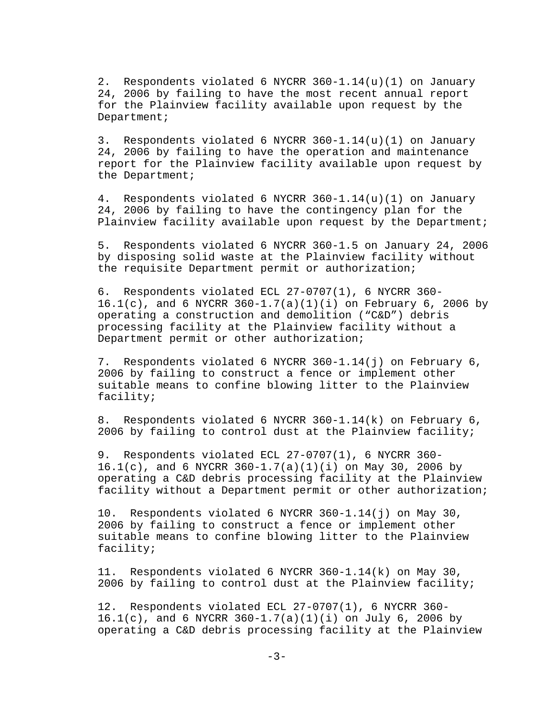2. Respondents violated 6 NYCRR 360-1.14(u)(1) on January 24, 2006 by failing to have the most recent annual report for the Plainview facility available upon request by the Department;

3. Respondents violated 6 NYCRR 360-1.14(u)(1) on January 24, 2006 by failing to have the operation and maintenance report for the Plainview facility available upon request by the Department;

4. Respondents violated 6 NYCRR 360-1.14(u)(1) on January 24, 2006 by failing to have the contingency plan for the Plainview facility available upon request by the Department;

5. Respondents violated 6 NYCRR 360-1.5 on January 24, 2006 by disposing solid waste at the Plainview facility without the requisite Department permit or authorization;

6. Respondents violated ECL 27-0707(1), 6 NYCRR 360-  $16.1(c)$ , and 6 NYCRR  $360-1.7(a)(1)(i)$  on February 6, 2006 by operating a construction and demolition ("C&D") debris processing facility at the Plainview facility without a Department permit or other authorization;

7. Respondents violated 6 NYCRR 360-1.14(j) on February 6, 2006 by failing to construct a fence or implement other suitable means to confine blowing litter to the Plainview facility;

8. Respondents violated 6 NYCRR 360-1.14(k) on February 6, 2006 by failing to control dust at the Plainview facility;

9. Respondents violated ECL 27-0707(1), 6 NYCRR 360-  $16.1(c)$ , and 6 NYCRR  $360-1.7(a)(1)(i)$  on May 30, 2006 by operating a C&D debris processing facility at the Plainview facility without a Department permit or other authorization;

10. Respondents violated 6 NYCRR 360-1.14(j) on May 30, 2006 by failing to construct a fence or implement other suitable means to confine blowing litter to the Plainview facility;

11. Respondents violated 6 NYCRR 360-1.14(k) on May 30, 2006 by failing to control dust at the Plainview facility;

12. Respondents violated ECL 27-0707(1), 6 NYCRR 360-  $16.1(c)$ , and 6 NYCRR  $360-1.7(a)(1)(i)$  on July 6, 2006 by operating a C&D debris processing facility at the Plainview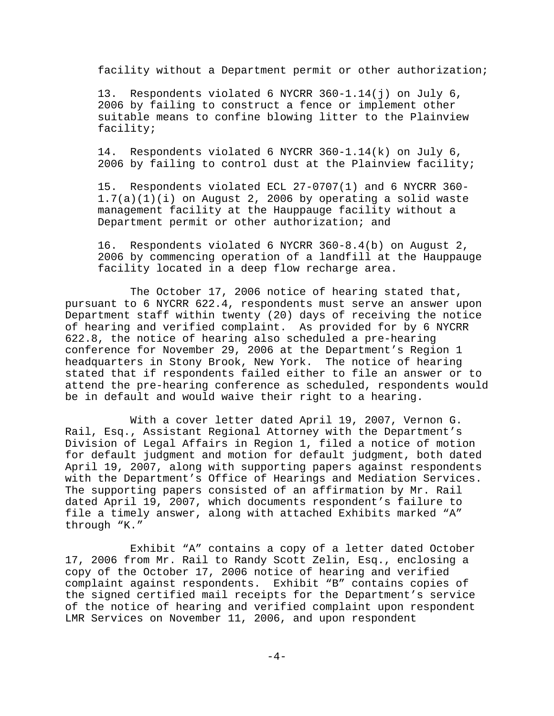facility without a Department permit or other authorization;

13. Respondents violated 6 NYCRR 360-1.14(j) on July 6, 2006 by failing to construct a fence or implement other suitable means to confine blowing litter to the Plainview facility;

14. Respondents violated 6 NYCRR 360-1.14(k) on July 6, 2006 by failing to control dust at the Plainview facility;

15. Respondents violated ECL 27-0707(1) and 6 NYCRR 360-  $1.7(a)(1)(i)$  on August 2, 2006 by operating a solid waste management facility at the Hauppauge facility without a Department permit or other authorization; and

16. Respondents violated 6 NYCRR 360-8.4(b) on August 2, 2006 by commencing operation of a landfill at the Hauppauge facility located in a deep flow recharge area.

The October 17, 2006 notice of hearing stated that, pursuant to 6 NYCRR 622.4, respondents must serve an answer upon Department staff within twenty (20) days of receiving the notice of hearing and verified complaint. As provided for by 6 NYCRR 622.8, the notice of hearing also scheduled a pre-hearing conference for November 29, 2006 at the Department's Region 1 headquarters in Stony Brook, New York. The notice of hearing stated that if respondents failed either to file an answer or to attend the pre-hearing conference as scheduled, respondents would be in default and would waive their right to a hearing.

With a cover letter dated April 19, 2007, Vernon G. Rail, Esq., Assistant Regional Attorney with the Department's Division of Legal Affairs in Region 1, filed a notice of motion for default judgment and motion for default judgment, both dated April 19, 2007, along with supporting papers against respondents with the Department's Office of Hearings and Mediation Services. The supporting papers consisted of an affirmation by Mr. Rail dated April 19, 2007, which documents respondent's failure to file a timely answer, along with attached Exhibits marked "A" through "K."

Exhibit "A" contains a copy of a letter dated October 17, 2006 from Mr. Rail to Randy Scott Zelin, Esq., enclosing a copy of the October 17, 2006 notice of hearing and verified complaint against respondents. Exhibit "B" contains copies of the signed certified mail receipts for the Department's service of the notice of hearing and verified complaint upon respondent LMR Services on November 11, 2006, and upon respondent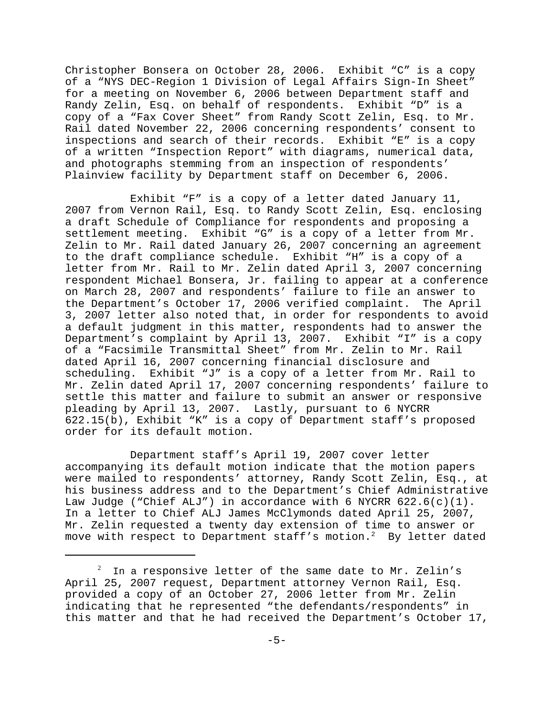Christopher Bonsera on October 28, 2006. Exhibit "C" is a copy of a "NYS DEC-Region 1 Division of Legal Affairs Sign-In Sheet" for a meeting on November 6, 2006 between Department staff and Randy Zelin, Esq. on behalf of respondents. Exhibit "D" is a copy of a "Fax Cover Sheet" from Randy Scott Zelin, Esq. to Mr. Rail dated November 22, 2006 concerning respondents' consent to inspections and search of their records. Exhibit "E" is a copy of a written "Inspection Report" with diagrams, numerical data, and photographs stemming from an inspection of respondents' Plainview facility by Department staff on December 6, 2006.

Exhibit "F" is a copy of a letter dated January 11, 2007 from Vernon Rail, Esq. to Randy Scott Zelin, Esq. enclosing a draft Schedule of Compliance for respondents and proposing a settlement meeting. Exhibit "G" is a copy of a letter from Mr. Zelin to Mr. Rail dated January 26, 2007 concerning an agreement to the draft compliance schedule. Exhibit "H" is a copy of a letter from Mr. Rail to Mr. Zelin dated April 3, 2007 concerning respondent Michael Bonsera, Jr. failing to appear at a conference on March 28, 2007 and respondents' failure to file an answer to the Department's October 17, 2006 verified complaint. The April 3, 2007 letter also noted that, in order for respondents to avoid a default judgment in this matter, respondents had to answer the Department's complaint by April 13, 2007. Exhibit "I" is a copy of a "Facsimile Transmittal Sheet" from Mr. Zelin to Mr. Rail dated April 16, 2007 concerning financial disclosure and scheduling. Exhibit "J" is a copy of a letter from Mr. Rail to Mr. Zelin dated April 17, 2007 concerning respondents' failure to settle this matter and failure to submit an answer or responsive pleading by April 13, 2007. Lastly, pursuant to 6 NYCRR 622.15(b), Exhibit "K" is a copy of Department staff's proposed order for its default motion.

Department staff's April 19, 2007 cover letter accompanying its default motion indicate that the motion papers were mailed to respondents' attorney, Randy Scott Zelin, Esq., at his business address and to the Department's Chief Administrative Law Judge ("Chief ALJ") in accordance with 6 NYCRR 622.6(c)(1). In a letter to Chief ALJ James McClymonds dated April 25, 2007, Mr. Zelin requested a twenty day extension of time to answer or move with respect to Department staff's motion.<sup>2</sup> By letter dated

<sup>2</sup> In a responsive letter of the same date to Mr. Zelin's April 25, 2007 request, Department attorney Vernon Rail, Esq. provided a copy of an October 27, 2006 letter from Mr. Zelin indicating that he represented "the defendants/respondents" in this matter and that he had received the Department's October 17,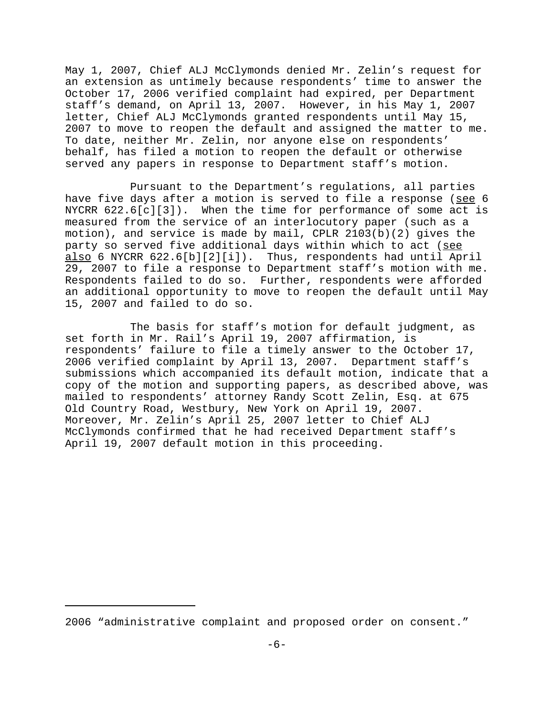May 1, 2007, Chief ALJ McClymonds denied Mr. Zelin's request for an extension as untimely because respondents' time to answer the October 17, 2006 verified complaint had expired, per Department staff's demand, on April 13, 2007. However, in his May 1, 2007 letter, Chief ALJ McClymonds granted respondents until May 15, 2007 to move to reopen the default and assigned the matter to me. To date, neither Mr. Zelin, nor anyone else on respondents' behalf, has filed a motion to reopen the default or otherwise served any papers in response to Department staff's motion.

Pursuant to the Department's regulations, all parties have five days after a motion is served to file a response (see 6 NYCRR 622.6[c][3]). When the time for performance of some act is measured from the service of an interlocutory paper (such as a motion), and service is made by mail, CPLR 2103(b)(2) gives the party so served five additional days within which to act (see also 6 NYCRR 622.6[b][2][i]). Thus, respondents had until April 29, 2007 to file a response to Department staff's motion with me. Respondents failed to do so. Further, respondents were afforded an additional opportunity to move to reopen the default until May 15, 2007 and failed to do so.

The basis for staff's motion for default judgment, as set forth in Mr. Rail's April 19, 2007 affirmation, is respondents' failure to file a timely answer to the October 17, 2006 verified complaint by April 13, 2007. Department staff's submissions which accompanied its default motion, indicate that a copy of the motion and supporting papers, as described above, was mailed to respondents' attorney Randy Scott Zelin, Esq. at 675 Old Country Road, Westbury, New York on April 19, 2007. Moreover, Mr. Zelin's April 25, 2007 letter to Chief ALJ McClymonds confirmed that he had received Department staff's April 19, 2007 default motion in this proceeding.

<sup>2006 &</sup>quot;administrative complaint and proposed order on consent."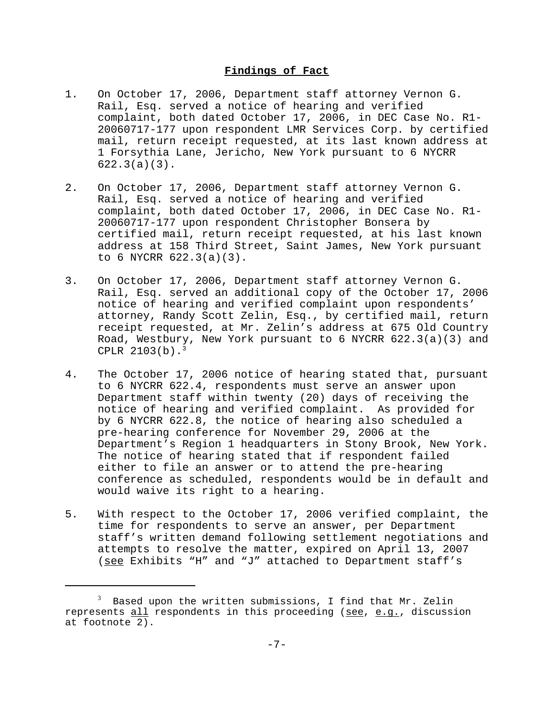## **Findings of Fact**

- 1. On October 17, 2006, Department staff attorney Vernon G. Rail, Esq. served a notice of hearing and verified complaint, both dated October 17, 2006, in DEC Case No. R1- 20060717-177 upon respondent LMR Services Corp. by certified mail, return receipt requested, at its last known address at 1 Forsythia Lane, Jericho, New York pursuant to 6 NYCRR 622.3(a)(3).
- 2. On October 17, 2006, Department staff attorney Vernon G. Rail, Esq. served a notice of hearing and verified complaint, both dated October 17, 2006, in DEC Case No. R1- 20060717-177 upon respondent Christopher Bonsera by certified mail, return receipt requested, at his last known address at 158 Third Street, Saint James, New York pursuant to 6 NYCRR 622.3(a)(3).
- 3. On October 17, 2006, Department staff attorney Vernon G. Rail, Esq. served an additional copy of the October 17, 2006 notice of hearing and verified complaint upon respondents' attorney, Randy Scott Zelin, Esq., by certified mail, return receipt requested, at Mr. Zelin's address at 675 Old Country Road, Westbury, New York pursuant to 6 NYCRR 622.3(a)(3) and CPLR  $2103(b)$ .<sup>3</sup>
- 4. The October 17, 2006 notice of hearing stated that, pursuant to 6 NYCRR 622.4, respondents must serve an answer upon Department staff within twenty (20) days of receiving the notice of hearing and verified complaint. As provided for by 6 NYCRR 622.8, the notice of hearing also scheduled a pre-hearing conference for November 29, 2006 at the Department's Region 1 headquarters in Stony Brook, New York. The notice of hearing stated that if respondent failed either to file an answer or to attend the pre-hearing conference as scheduled, respondents would be in default and would waive its right to a hearing.
- 5. With respect to the October 17, 2006 verified complaint, the time for respondents to serve an answer, per Department staff's written demand following settlement negotiations and attempts to resolve the matter, expired on April 13, 2007 (see Exhibits "H" and "J" attached to Department staff's

<sup>3</sup> Based upon the written submissions, I find that Mr. Zelin represents all respondents in this proceeding (see, e.g., discussion at footnote 2).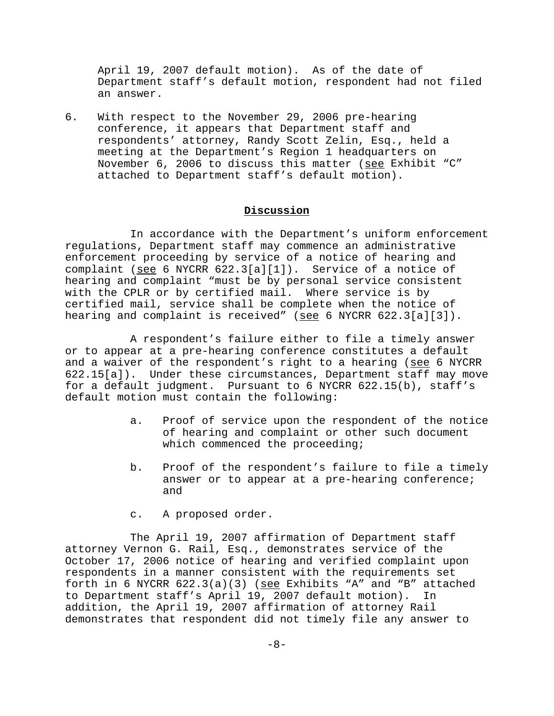April 19, 2007 default motion). As of the date of Department staff's default motion, respondent had not filed an answer.

6. With respect to the November 29, 2006 pre-hearing conference, it appears that Department staff and respondents' attorney, Randy Scott Zelin, Esq., held a meeting at the Department's Region 1 headquarters on November 6, 2006 to discuss this matter (see Exhibit "C" attached to Department staff's default motion).

## **Discussion**

In accordance with the Department's uniform enforcement regulations, Department staff may commence an administrative enforcement proceeding by service of a notice of hearing and complaint (see 6 NYCRR 622.3[a][1]). Service of a notice of hearing and complaint "must be by personal service consistent with the CPLR or by certified mail. Where service is by certified mail, service shall be complete when the notice of hearing and complaint is received" (see 6 NYCRR  $622.3[a][3])$ .

A respondent's failure either to file a timely answer or to appear at a pre-hearing conference constitutes a default and a waiver of the respondent's right to a hearing (see 6 NYCRR 622.15[a]). Under these circumstances, Department staff may move for a default judgment. Pursuant to 6 NYCRR 622.15(b), staff's default motion must contain the following:

- a. Proof of service upon the respondent of the notice of hearing and complaint or other such document which commenced the proceeding;
- b. Proof of the respondent's failure to file a timely answer or to appear at a pre-hearing conference; and
- c. A proposed order.

The April 19, 2007 affirmation of Department staff attorney Vernon G. Rail, Esq., demonstrates service of the October 17, 2006 notice of hearing and verified complaint upon respondents in a manner consistent with the requirements set forth in 6 NYCRR  $622.3(a)(3)$  (see Exhibits "A" and "B" attached to Department staff's April 19, 2007 default motion). In addition, the April 19, 2007 affirmation of attorney Rail demonstrates that respondent did not timely file any answer to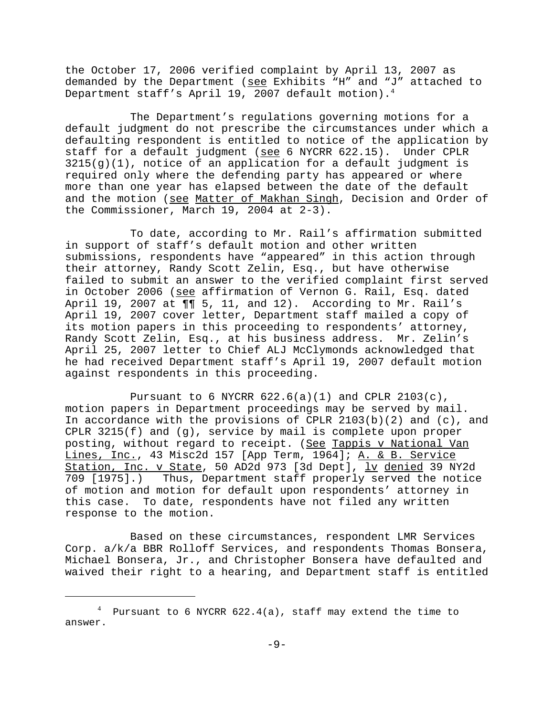the October 17, 2006 verified complaint by April 13, 2007 as demanded by the Department (see Exhibits "H" and "J" attached to Department staff's April 19, 2007 default motion).<sup>4</sup>

The Department's regulations governing motions for a default judgment do not prescribe the circumstances under which a defaulting respondent is entitled to notice of the application by staff for a default judgment (see 6 NYCRR 622.15). Under CPLR  $3215(g)(1)$ , notice of an application for a default judgment is required only where the defending party has appeared or where more than one year has elapsed between the date of the default and the motion (see Matter of Makhan Singh, Decision and Order of the Commissioner, March 19, 2004 at 2-3).

To date, according to Mr. Rail's affirmation submitted in support of staff's default motion and other written submissions, respondents have "appeared" in this action through their attorney, Randy Scott Zelin, Esq., but have otherwise failed to submit an answer to the verified complaint first served in October 2006 (see affirmation of Vernon G. Rail, Esq. dated April 19, 2007 at  $\P\P$  5, 11, and 12). According to Mr. Rail's April 19, 2007 cover letter, Department staff mailed a copy of its motion papers in this proceeding to respondents' attorney, Randy Scott Zelin, Esq., at his business address. Mr. Zelin's April 25, 2007 letter to Chief ALJ McClymonds acknowledged that he had received Department staff's April 19, 2007 default motion against respondents in this proceeding.

Pursuant to 6 NYCRR  $622.6(a)(1)$  and CPLR  $2103(c)$ , motion papers in Department proceedings may be served by mail. In accordance with the provisions of CPLR  $2103(b)(2)$  and  $(c)$ , and CPLR 3215(f) and (g), service by mail is complete upon proper posting, without regard to receipt. (See Tappis v National Van Lines, Inc., 43 Misc2d 157 [App Term, 1964]; A. & B. Service Station, Inc. v State, 50 AD2d 973 [3d Dept], lv denied 39 NY2d 709 [1975].) Thus, Department staff properly served the notice of motion and motion for default upon respondents' attorney in this case. To date, respondents have not filed any written response to the motion.

Based on these circumstances, respondent LMR Services Corp. a/k/a BBR Rolloff Services, and respondents Thomas Bonsera, Michael Bonsera, Jr., and Christopher Bonsera have defaulted and waived their right to a hearing, and Department staff is entitled

 $^4$  Pursuant to 6 NYCRR 622.4(a), staff may extend the time to answer.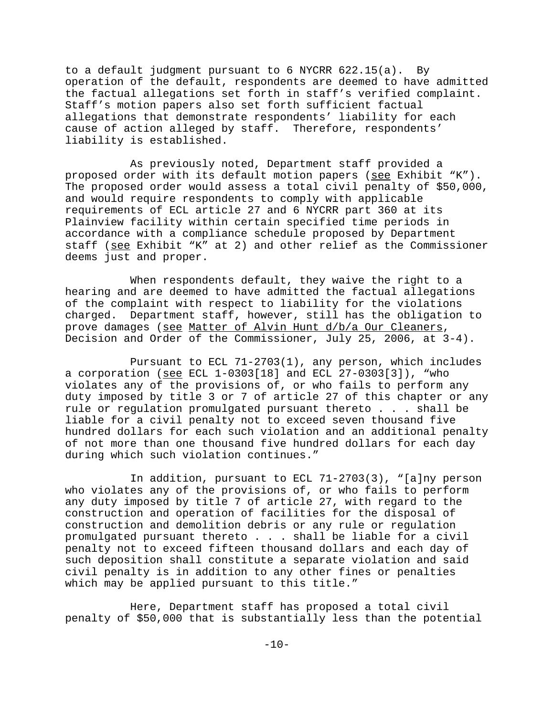to a default judgment pursuant to 6 NYCRR 622.15(a). By operation of the default, respondents are deemed to have admitted the factual allegations set forth in staff's verified complaint. Staff's motion papers also set forth sufficient factual allegations that demonstrate respondents' liability for each cause of action alleged by staff. Therefore, respondents' liability is established.

As previously noted, Department staff provided a proposed order with its default motion papers (see Exhibit "K"). The proposed order would assess a total civil penalty of \$50,000, and would require respondents to comply with applicable requirements of ECL article 27 and 6 NYCRR part 360 at its Plainview facility within certain specified time periods in accordance with a compliance schedule proposed by Department staff (see Exhibit "K" at 2) and other relief as the Commissioner deems just and proper.

When respondents default, they waive the right to a hearing and are deemed to have admitted the factual allegations of the complaint with respect to liability for the violations charged. Department staff, however, still has the obligation to prove damages (see Matter of Alvin Hunt d/b/a Our Cleaners, Decision and Order of the Commissioner, July 25, 2006, at 3-4).

Pursuant to ECL 71-2703(1), any person, which includes a corporation (see ECL 1-0303[18] and ECL 27-0303[3]), "who violates any of the provisions of, or who fails to perform any duty imposed by title 3 or 7 of article 27 of this chapter or any rule or regulation promulgated pursuant thereto . . . shall be liable for a civil penalty not to exceed seven thousand five hundred dollars for each such violation and an additional penalty of not more than one thousand five hundred dollars for each day during which such violation continues."

In addition, pursuant to ECL 71-2703(3), "[a]ny person who violates any of the provisions of, or who fails to perform any duty imposed by title 7 of article 27, with regard to the construction and operation of facilities for the disposal of construction and demolition debris or any rule or regulation promulgated pursuant thereto . . . shall be liable for a civil penalty not to exceed fifteen thousand dollars and each day of such deposition shall constitute a separate violation and said civil penalty is in addition to any other fines or penalties which may be applied pursuant to this title."

Here, Department staff has proposed a total civil penalty of \$50,000 that is substantially less than the potential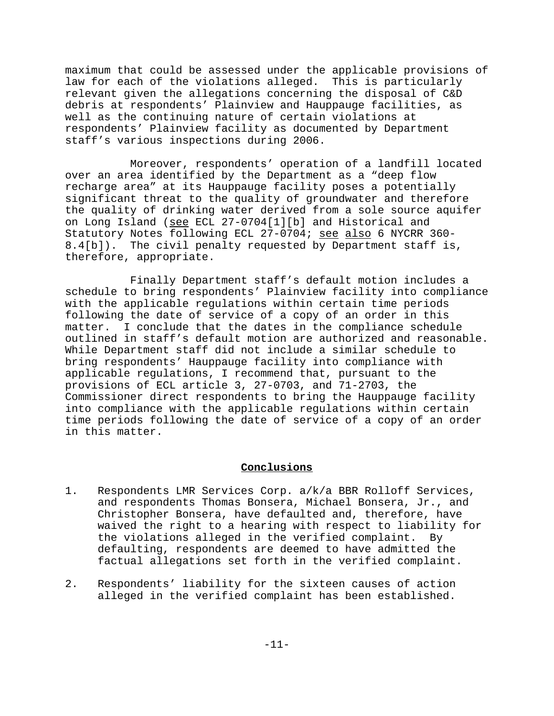maximum that could be assessed under the applicable provisions of law for each of the violations alleged. This is particularly relevant given the allegations concerning the disposal of C&D debris at respondents' Plainview and Hauppauge facilities, as well as the continuing nature of certain violations at respondents' Plainview facility as documented by Department staff's various inspections during 2006.

Moreover, respondents' operation of a landfill located over an area identified by the Department as a "deep flow recharge area" at its Hauppauge facility poses a potentially significant threat to the quality of groundwater and therefore the quality of drinking water derived from a sole source aquifer on Long Island (see ECL 27-0704[1][b] and Historical and Statutory Notes following ECL 27-0704; see also 6 NYCRR 360-8.4[b]). The civil penalty requested by Department staff is, therefore, appropriate.

Finally Department staff's default motion includes a schedule to bring respondents' Plainview facility into compliance with the applicable regulations within certain time periods following the date of service of a copy of an order in this matter. I conclude that the dates in the compliance schedule outlined in staff's default motion are authorized and reasonable. While Department staff did not include a similar schedule to bring respondents' Hauppauge facility into compliance with applicable regulations, I recommend that, pursuant to the provisions of ECL article 3, 27-0703, and 71-2703, the Commissioner direct respondents to bring the Hauppauge facility into compliance with the applicable regulations within certain time periods following the date of service of a copy of an order in this matter.

#### **Conclusions**

- 1. Respondents LMR Services Corp. a/k/a BBR Rolloff Services, and respondents Thomas Bonsera, Michael Bonsera, Jr., and Christopher Bonsera, have defaulted and, therefore, have waived the right to a hearing with respect to liability for the violations alleged in the verified complaint. By defaulting, respondents are deemed to have admitted the factual allegations set forth in the verified complaint.
- 2. Respondents' liability for the sixteen causes of action alleged in the verified complaint has been established.